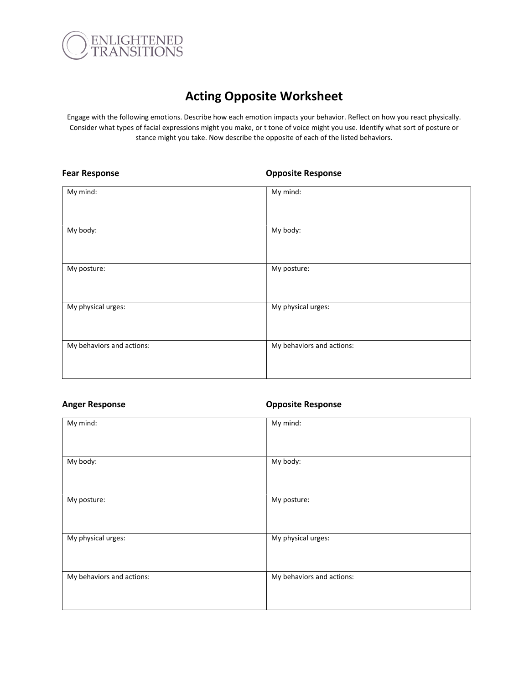

# Acting Opposite Worksheet

Engage with the following emotions. Describe how each emotion impacts your behavior. Reflect on how you react physically. Consider what types of facial expressions might you make, or t tone of voice might you use. Identify what sort of posture or stance might you take. Now describe the opposite of each of the listed behaviors.

### Fear Response **Conservation Conservation** Composite Response

| My mind:                  | My mind:                  |
|---------------------------|---------------------------|
|                           |                           |
|                           |                           |
| My body:                  | My body:                  |
|                           |                           |
|                           |                           |
| My posture:               | My posture:               |
|                           |                           |
|                           |                           |
| My physical urges:        | My physical urges:        |
|                           |                           |
|                           |                           |
| My behaviors and actions: | My behaviors and actions: |
|                           |                           |
|                           |                           |
|                           |                           |

### Anger Response **Company** Company Composite Response

| My mind:                  | My mind:                  |
|---------------------------|---------------------------|
| My body:                  | My body:                  |
| My posture:               | My posture:               |
| My physical urges:        | My physical urges:        |
| My behaviors and actions: | My behaviors and actions: |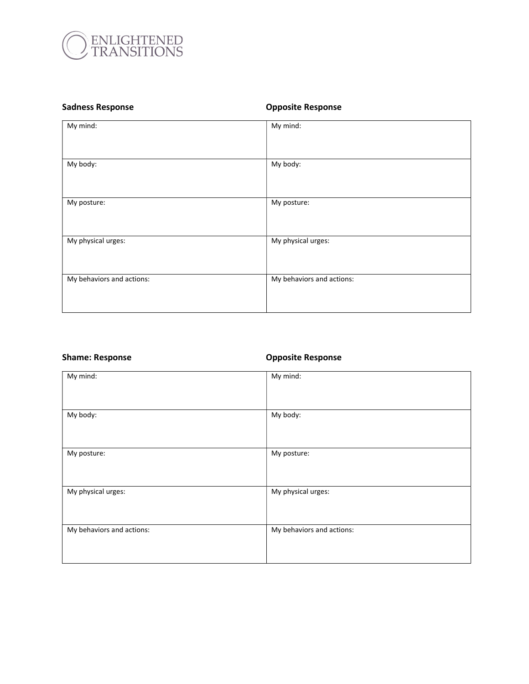

# Sadness Response **Calculates** Composite Response

| My mind:                  | My mind:                  |
|---------------------------|---------------------------|
| My body:                  | My body:                  |
| My posture:               | My posture:               |
| My physical urges:        | My physical urges:        |
| My behaviors and actions: | My behaviors and actions: |

# Shame: Response **Company** Composite Response

| My mind:                  | My mind:                  |
|---------------------------|---------------------------|
| My body:                  | My body:                  |
| My posture:               | My posture:               |
| My physical urges:        | My physical urges:        |
| My behaviors and actions: | My behaviors and actions: |